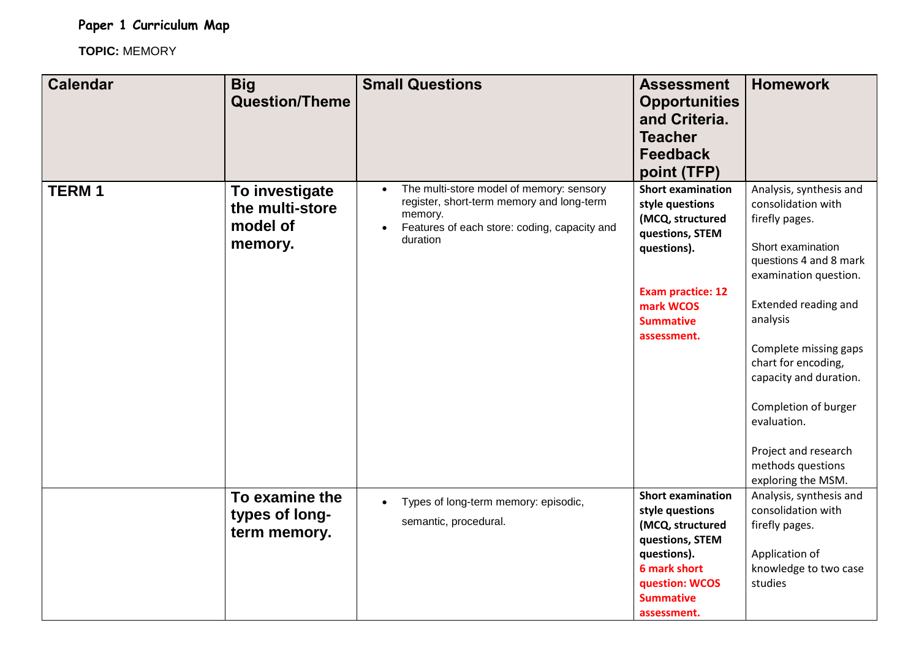**Paper 1 Curriculum Map**

**TOPIC:** MEMORY

| <b>Calendar</b> | <b>Big</b><br><b>Question/Theme</b>                      | <b>Small Questions</b>                                                                                                                                                    | <b>Assessment</b><br><b>Opportunities</b><br>and Criteria.<br><b>Teacher</b><br><b>Feedback</b><br>point (TFP)                                                                | <b>Homework</b>                                                                                                                                                                                                                                                                                                                                                 |
|-----------------|----------------------------------------------------------|---------------------------------------------------------------------------------------------------------------------------------------------------------------------------|-------------------------------------------------------------------------------------------------------------------------------------------------------------------------------|-----------------------------------------------------------------------------------------------------------------------------------------------------------------------------------------------------------------------------------------------------------------------------------------------------------------------------------------------------------------|
| <b>TERM1</b>    | To investigate<br>the multi-store<br>model of<br>memory. | The multi-store model of memory: sensory<br>register, short-term memory and long-term<br>memory.<br>Features of each store: coding, capacity and<br>$\bullet$<br>duration | <b>Short examination</b><br>style questions<br>(MCQ, structured<br>questions, STEM<br>questions).<br><b>Exam practice: 12</b><br>mark WCOS<br><b>Summative</b><br>assessment. | Analysis, synthesis and<br>consolidation with<br>firefly pages.<br>Short examination<br>questions 4 and 8 mark<br>examination question.<br>Extended reading and<br>analysis<br>Complete missing gaps<br>chart for encoding,<br>capacity and duration.<br>Completion of burger<br>evaluation.<br>Project and research<br>methods questions<br>exploring the MSM. |
|                 | To examine the<br>types of long-<br>term memory.         | Types of long-term memory: episodic,<br>$\bullet$<br>semantic, procedural.                                                                                                | <b>Short examination</b><br>style questions<br>(MCQ, structured<br>questions, STEM<br>questions).<br><b>6 mark short</b><br>question: WCOS<br><b>Summative</b><br>assessment. | Analysis, synthesis and<br>consolidation with<br>firefly pages.<br>Application of<br>knowledge to two case<br>studies                                                                                                                                                                                                                                           |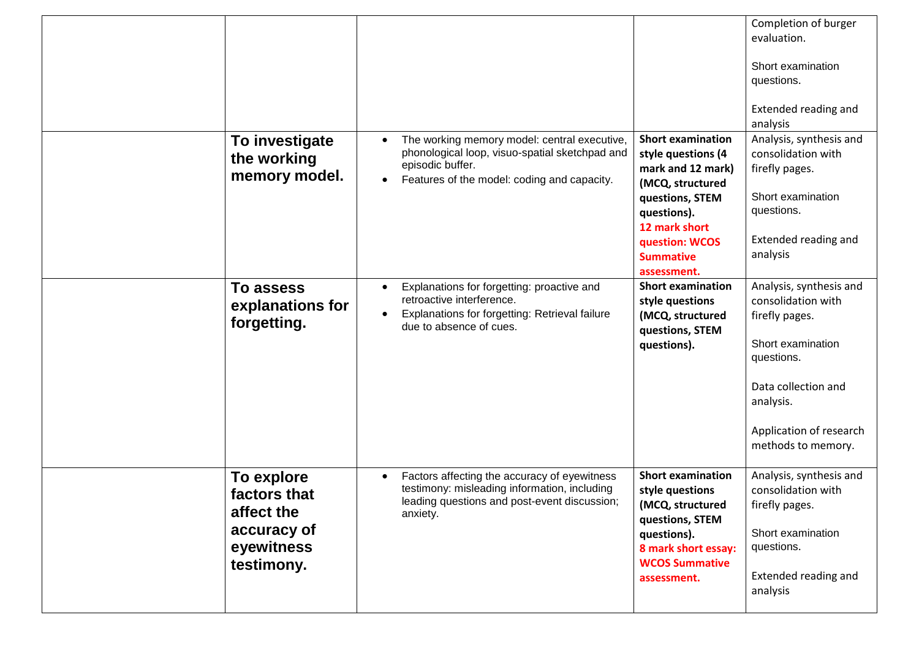|                                                                                     |                                                                                                                                                                                |                                                                                                                                                                                                 | Completion of burger<br>evaluation.<br>Short examination<br>questions.<br>Extended reading and<br>analysis                                                                              |
|-------------------------------------------------------------------------------------|--------------------------------------------------------------------------------------------------------------------------------------------------------------------------------|-------------------------------------------------------------------------------------------------------------------------------------------------------------------------------------------------|-----------------------------------------------------------------------------------------------------------------------------------------------------------------------------------------|
| To investigate<br>the working<br>memory model.                                      | The working memory model: central executive,<br>phonological loop, visuo-spatial sketchpad and<br>episodic buffer.<br>Features of the model: coding and capacity.<br>$\bullet$ | <b>Short examination</b><br>style questions (4<br>mark and 12 mark)<br>(MCQ, structured<br>questions, STEM<br>questions).<br>12 mark short<br>question: WCOS<br><b>Summative</b><br>assessment. | Analysis, synthesis and<br>consolidation with<br>firefly pages.<br>Short examination<br>questions.<br>Extended reading and<br>analysis                                                  |
| <b>To assess</b><br>explanations for<br>forgetting.                                 | Explanations for forgetting: proactive and<br>$\bullet$<br>retroactive interference.<br>Explanations for forgetting: Retrieval failure<br>due to absence of cues.              | <b>Short examination</b><br>style questions<br>(MCQ, structured<br>questions, STEM<br>questions).                                                                                               | Analysis, synthesis and<br>consolidation with<br>firefly pages.<br>Short examination<br>questions.<br>Data collection and<br>analysis.<br>Application of research<br>methods to memory. |
| To explore<br>factors that<br>affect the<br>accuracy of<br>eyewitness<br>testimony. | Factors affecting the accuracy of eyewitness<br>testimony: misleading information, including<br>leading questions and post-event discussion;<br>anxiety.                       | <b>Short examination</b><br>style questions<br>(MCQ, structured<br>questions, STEM<br>questions).<br>8 mark short essay:<br><b>WCOS Summative</b><br>assessment.                                | Analysis, synthesis and<br>consolidation with<br>firefly pages.<br>Short examination<br>questions.<br>Extended reading and<br>analysis                                                  |